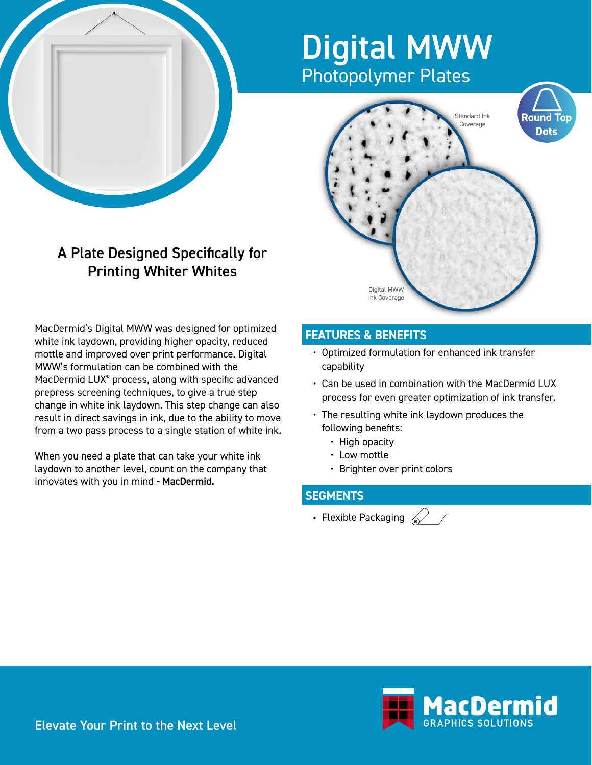## Digital MWW Photopolymer Plates



## A Plate Designed Specifically for Printing Whiter Whites

MacDermid's Digital MWW was designed for optimized white ink laydown, providing higher opacity, reduced mottle and improved over print performance. Digital MWW's formulation can be combined with the MacDermid LUX® process, along with specific advanced prepress screening techniques, to give a true step change in white ink laydown. This step change can also result in direct savings in ink, due to the ability to move from a two pass process to a single station of white ink.

When you need a plate that can take your white ink laydown to another level, count on the company that innovates with you in mind - MacDermid.

## **FEATURES & BENEFITS**

- Optimized formulation for enhanced ink transfer capability
- Can be used in combination with the MacDermid LUX process for even greater optimization of ink transfer.
- The resulting white ink laydown produces the following benefits:
	- High opacity
	- Low mottle
	- Brighter over print colors

## **SEGMENTS**

• Flexible Packaging  $\mathcal{D}$ 





Elevate Your Print to the Next Level